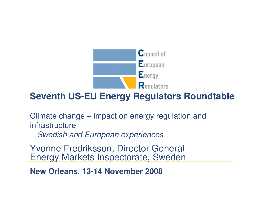

# **Seventh US-EU Energy Regulators Roundtable**

Climate change – impact on energy regulation and infrastructure

- Swadich s Swedish and European experiences -

Yvonne Fredriksson, Director General Energy Markets Inspectorate, Sweden

**New Orleans, 13-14 November 2008**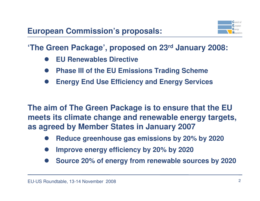

**'The Green Package', proposed on 23rd January 2008:**

- $\bullet$ **EU Renewables Directive**
- $\bullet$ **Phase III of the EU Emissions Trading Scheme**
- $\bullet$ **Energy End Use Efficiency and Energy Services**

**The aim of The Green Package is to ensure that the EU meets its climate change and renewable energy targets, as agreed by Member States in January 2007**

- $\bullet$ **Reduce greenhouse gas emissions by 20% by 2020**
- $\bullet$ **Improve energy efficiency by 20% by 2020**
- $\bullet$ **Source 20% of energy from renewable sources by 2020**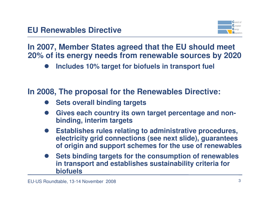

**In 2007, Member States agreed that the EU should meet 20% of its energy needs from renewable sources by 2020**

 $\bullet$ **Includes 10% target for biofuels in transport fuel**

## **In 2008, The proposal for the Renewables Directive:**

- $\bullet$ **Sets overall binding targets**
- $\bullet$  **Gives each country its own target percentage and nonbinding, interim targets**
- $\bullet$  **Establishes rules relating to administrative procedures, electricity grid connections (see next slide), guarantees of origin and support schemes for the use of renewables**
- $\bullet$  **Sets binding targets for the consumption of renewables in transport and establishes sustainability criteria for biofuels**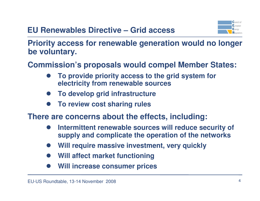

**Priority access for renewable generation would no longer be voluntary.**

**Commission's proposals would compel Member States:**

- $\bullet$  **To provide priority access to the grid system for electricity from renewable sources**
- $\bullet$ **To develop grid infrastructure**
- $\bullet$ **To review cost sharing rules**

**There are concerns about the effects, including:**

- $\bullet$  **Intermittent renewable sources will reduce security of supply and complicate the operation of the networks**
- $\bullet$ **Will require massive investment, very quickly**
- $\bullet$ **Will affect market functioning**
- $\bullet$ **Will increase consumer prices**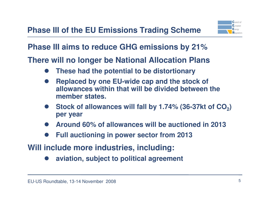

**Phase III aims to reduce GHG emissions by 21%**

**There will no longer be National Allocation Plans**

- $\bullet$ **These had the potential to be distortionary**
- $\bullet$  **Replaced by one EU-wide cap and the stock of allowances within that will be divided between the member states.**
- $\bullet$  **Stock of allowances will fall by 1.74% (36-37kt of CO2) per year**
- $\bullet$ **Around 60% of allowances will be auctioned in 2013**
- $\bullet$ **Full auctioning in power sector from 2013**

**Will include more industries, including:**

 $\bullet$ **aviation, subject to political agreement**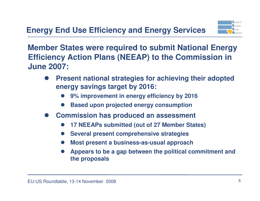

**Member States were required to submit National Energy Efficiency Action Plans (NEEAP) to the Commission in June 2007:**

- $\bullet$  **Present national strategies for achieving their adopted energy savings target by 2016:**
	- $\bullet$ **9% improvement in energy efficiency by 2016**
	- $\bullet$ **Based upon projected energy consumption**
- $\bullet$  **Commission has produced an assessment**
	- $\bullet$ **17 NEEAPs submitted (out of 27 Member States)**
	- $\bullet$ **Several present comprehensive strategies**
	- $\bullet$ **Most present a business-as-usual approach**
	- $\bullet$  **Appears to be a gap between the political commitment and the proposals**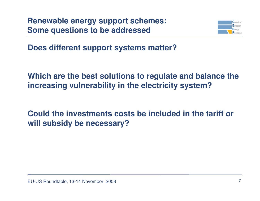**Renewable energy support schemes:Some questions to be addressed**



**Does different support systems matter?**

**Which are the best solutions to regulate and balance the increasing vulnerability in the electricity system?**

**Could the investments costs be included in the tariff or will subsidy be necessary?**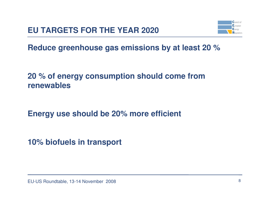

**Reduce greenhouse gas emissions by at least 20 %** 

## **20 % of energy consumption should come from renewables**

**Energy use should be 20% more efficient**

**10% biofuels in transport**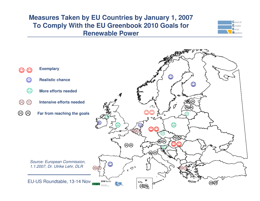#### **Measures Taken by EU Countries by January 1, 2007 To Comply With the EU Greenbook 2010 Goals for Renewable Power**



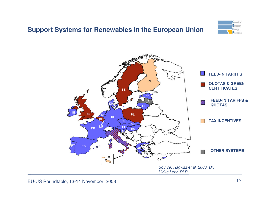

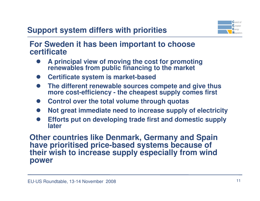# **Support system differs with priorities**



**For Sweden it has been important to choosecertificate**

- **A principal view of moving the cost for promoting**  $\bullet$ **renewables from public financing to the market**
- **Certificate system is market-based**
- $\bullet$  **The different renewable sources compete and give thus more cost-efficiency - the cheapest supply comes first**
- **Control over the total volume through quotas**
- $\bullet$ **Not great immediate need to increase supply of electricity**
- $\bullet$  **Efforts put on developing trade first and domestic suppl ylater**

**Other countries like Denmark, Germany and Spainhave prioritised price-based systems because of their wish to increase supply especially from windpower**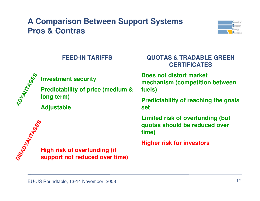# **A Comparison Between Support SystemsPros & Contras**



#### **FEED-IN TARIFFS**



#### **Investment security**

**Predictability of price (medium & long term)**

**Adjustable**



**High risk of overfunding (ifsupport not reduced over time)**

#### **QUOTAS & TRADABLE GREEN CERTIFICATES**

**Does not distort market mechanism (competition betweenfuels)**

**Predictability of reaching the goalsset**

**Limited risk of overfunding (butquotas should be reduced over time)**

**Higher risk for investors**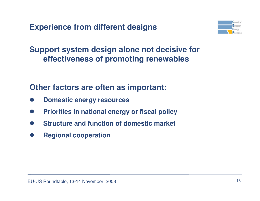

**Support system design alone not decisive foreffectiveness of promoting renewables**

## **Other factors are often as important:**

- $\bullet$ **Domestic energy resources**
- $\bullet$ **Priorities in national energy or fiscal policy**
- $\bullet$ **Structure and function of domestic market**
- $\bullet$ **Regional cooperation**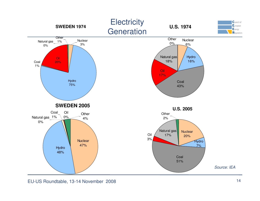

EU-US Roundtable, 13-14 November 2008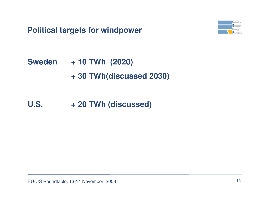

**Sweden + 10 TWh (2020)<sup>+</sup> 30 TWh(discussed 2030)**

# **U.S. <sup>+</sup> 20 TWh (discussed)**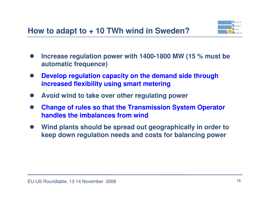

- $\bullet$  **Increase regulation power with 1400-1800 MW (15 % must be automatic frequence)**
- $\bullet$  **Develop regulation capacity on the demand side through increased flexibility using smart metering**
- $\bullet$ **Avoid wind to take over other regulating power**
- $\bullet$  **Change of rules so that the Transmission System Operator handles the imbalances from wind**
- $\bullet$  **Wind plants should be spread out geographically in order to keep down regulation needs and costs for balancing power**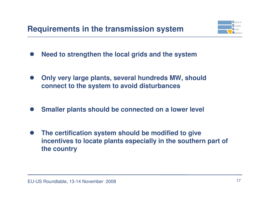

- $\bullet$ **Need to strengthen the local grids and the system**
- $\bullet$  **Only very large plants, several hundreds MW, should connect to the system to avoid disturbances**
- $\bullet$ **Smaller plants should be connected on a lower level**
- $\bullet$  **The certification system should be modified to give incentives to locate plants especially in the southern part of the country**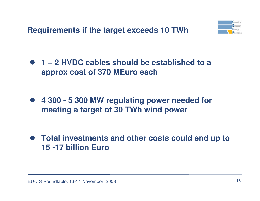

 **1 – 2 HVDC cables should be established to a approx cost of 370 MEuro each**

 $\bullet$  **4 300 - 5 300 MW regulating power needed for meeting a target of 30 TWh wind power**

 **Total investments and other costs could end up to 15 -17 billion Euro**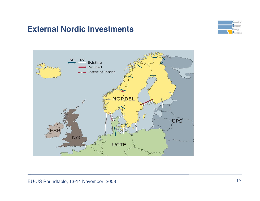### **External Nordic Investments**



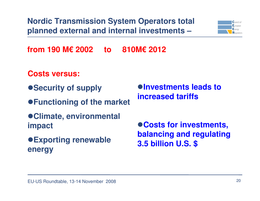**Nordic Transmission System Operators total planned external and internal investments –**



**from 190 M€ 2002 to 810M€ 2012**

### **Costs versus:**

- $\bullet$  **Security of supply**
- **Functioning of the market**
- **Climate, environmentalimpact**
- **Exporting renewableenergy**

**Investments leads to increased tariffs**

**Costs for investments, balancing and regulating3.5 billion U.S. \$**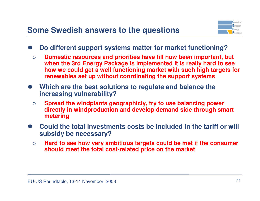

- $\bullet$  **Do different support systems matter for market functioning?**
	- o **Domestic resources and priorities have till now been important, but when the 3rd Energy Package is implemented it is really hard to see how we could get a well functioning market with such high targets for renewables set up without coordinating the support systems**
- **Which are the best solutions to regulate and balance the increasing vulnerability?**
	- o **Spread the windplants geographicly, try to use balancing power directly in windproduction and develop demand side through smart metering**
- $\bullet$  **Could the total investments costs be included in the tariff or will subsidy be necessary?**
	- **Hard to see how very ambitious targets could be met if the consumer** o**should meet the total cost-related price on the market**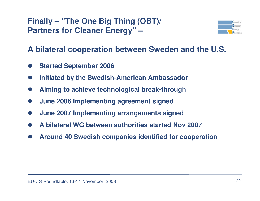# **Finally – "The One Big Thing (OBT)/ Partners for Cleaner Energy" –**



## **A bilateral cooperation between Sweden and the U.S.**

- $\bullet$ **Started September 2006**
- $\bullet$ **Initiated by the Swedish-American Ambassador**
- $\bullet$ **Aiming to achieve technological break-through**
- $\bullet$ **June 2006 Implementing agreement signed**
- $\bullet$ **June 2007 Implementing arrangements signed**
- $\bullet$ **A bilateral WG between authorities started Nov 2007**
- $\bullet$ **Around 40 Swedish companies identified for cooperation**